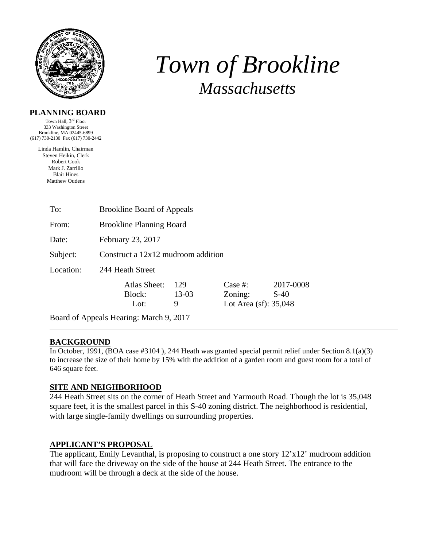

# *Town of Brookline Massachusetts*

#### **PLANNING BOARD**

Town Hall, 3rd Floor 333 Washington Street Brookline, MA 02445-6899 (617) 730-2130 Fax (617) 730-2442

> Linda Hamlin, Chairman Steven Heikin, Clerk Robert Cook Mark J. Zarrillo Blair Hines Matthew Oudens

| To:       | <b>Brookline Board of Appeals</b>       |                   |                                                 |                     |  |
|-----------|-----------------------------------------|-------------------|-------------------------------------------------|---------------------|--|
| From:     | <b>Brookline Planning Board</b>         |                   |                                                 |                     |  |
| Date:     | February 23, 2017                       |                   |                                                 |                     |  |
| Subject:  | Construct a $12x12$ mudroom addition    |                   |                                                 |                     |  |
| Location: | 244 Heath Street                        |                   |                                                 |                     |  |
|           | Atlas Sheet:<br>Block:<br>Lot:          | 129<br>13-03<br>9 | Case  #:<br>Zoning:<br>Lot Area $(sf)$ : 35,048 | 2017-0008<br>$S-40$ |  |
|           | Board of Appeals Hearing: March 9, 2017 |                   |                                                 |                     |  |

#### **BACKGROUND**

In October, 1991, (BOA case #3104 ), 244 Heath was granted special permit relief under Section 8.1(a)(3) to increase the size of their home by 15% with the addition of a garden room and guest room for a total of 646 square feet.

#### **SITE AND NEIGHBORHOOD**

244 Heath Street sits on the corner of Heath Street and Yarmouth Road. Though the lot is 35,048 square feet, it is the smallest parcel in this S-40 zoning district. The neighborhood is residential, with large single-family dwellings on surrounding properties.

#### **APPLICANT'S PROPOSAL**

The applicant, Emily Levanthal, is proposing to construct a one story 12'x12' mudroom addition that will face the driveway on the side of the house at 244 Heath Street. The entrance to the mudroom will be through a deck at the side of the house.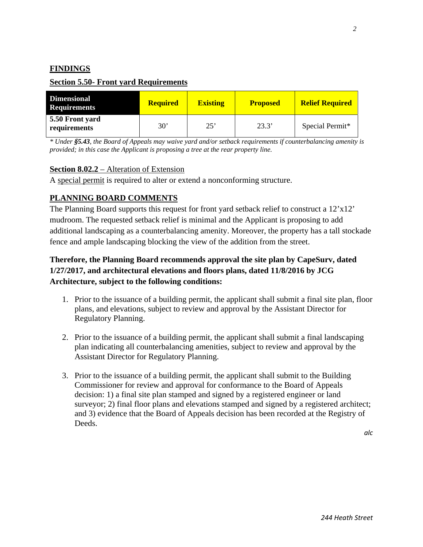#### **FINDINGS**

#### **Section 5.50- Front yard Requirements**

| <b>Dimensional</b><br><b>Requirements</b> | <b>Required</b> | <b>Existing</b> | <b>Proposed</b> | <b>Relief Required</b> |
|-------------------------------------------|-----------------|-----------------|-----------------|------------------------|
| 5.50 Front yard<br>requirements           | 30 <sup>°</sup> | 25'             | 23.3'           | Special Permit*        |

*\* Under §5.43, the Board of Appeals may waive yard and/or setback requirements if counterbalancing amenity is provided; in this case the Applicant is proposing a tree at the rear property line.* 

#### **Section 8.02.2** – Alteration of Extension

A special permit is required to alter or extend a nonconforming structure.

#### **PLANNING BOARD COMMENTS**

The Planning Board supports this request for front yard setback relief to construct a 12'x12' mudroom. The requested setback relief is minimal and the Applicant is proposing to add additional landscaping as a counterbalancing amenity. Moreover, the property has a tall stockade fence and ample landscaping blocking the view of the addition from the street.

### **Therefore, the Planning Board recommends approval the site plan by CapeSurv, dated 1/27/2017, and architectural elevations and floors plans, dated 11/8/2016 by JCG Architecture, subject to the following conditions:**

- 1. Prior to the issuance of a building permit, the applicant shall submit a final site plan, floor plans, and elevations, subject to review and approval by the Assistant Director for Regulatory Planning.
- 2. Prior to the issuance of a building permit, the applicant shall submit a final landscaping plan indicating all counterbalancing amenities, subject to review and approval by the Assistant Director for Regulatory Planning.
- 3. Prior to the issuance of a building permit, the applicant shall submit to the Building Commissioner for review and approval for conformance to the Board of Appeals decision: 1) a final site plan stamped and signed by a registered engineer or land surveyor; 2) final floor plans and elevations stamped and signed by a registered architect; and 3) evidence that the Board of Appeals decision has been recorded at the Registry of Deeds.

*alc*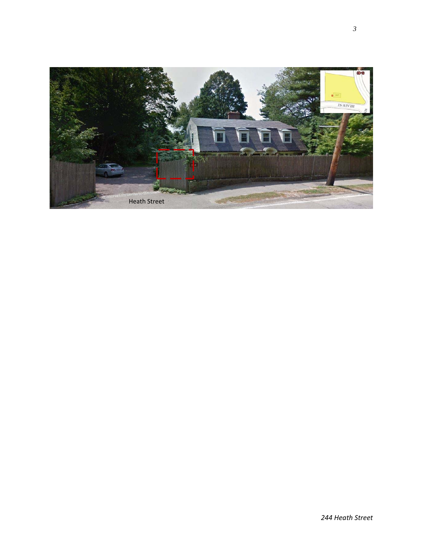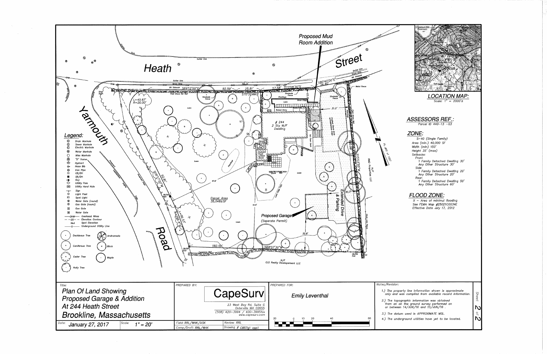



Scale:  $1'' = 2000' \pm$ 

### **ASSESSORS REF.:**

Parcel ID  $440 - 13 - 03$ 

#### ZONE:

 $\overline{\mathsf{S}}$ -40 (Single Family) Area (min.) 40,000 SF Width (min) 150'<br>Width (min) 150'<br>Height 35' (max) Setbacks: Side: <sub>טיטיכ</sub>,<br>1 Family Detached Dwelling 20'<br>Any Other Structure 20' Rear:<br>
1 Family Detached Dwelling 50'<br>
Any Other Structure 60'

#### **FLOOD ZONE:**

 $X - Area$  of minimul flooding See FEMA Map #25021C0034E Effective Date July 17, 2012

1.) The property line information shown is approximate<br>only and was compiled from available record information. 2.) The topographic information was obtained<br>from an on the ground survey performed on<br>or between  $14/JUN/16$  and  $15/JUN/16$ . **N** 3.) The datum used is APPROXIMATE MSL.  $\overline{o}$ ΝN 4.) The underground utilities have yet to be located.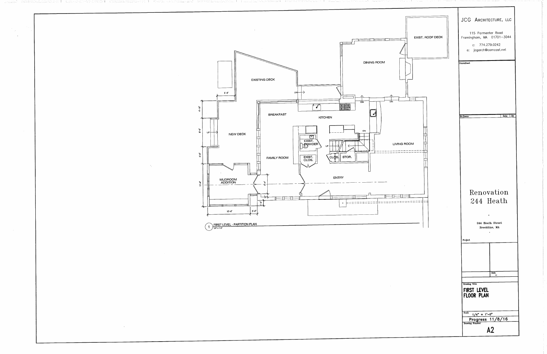

## 244 Heath

Progress 11/8/16